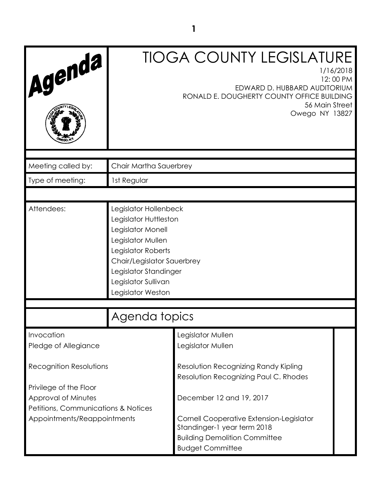| Agenda                                                                                                              |                                                                                                                                                                                                                   | <b>TIOGA COUNTY LEGISLATURE</b><br>1/16/2018<br>12:00 PM<br>EDWARD D. HUBBARD AUDITORIUM<br>RONALD E. DOUGHERTY COUNTY OFFICE BUILDING<br>56 Main Street<br>Owego NY 13827                                      |  |
|---------------------------------------------------------------------------------------------------------------------|-------------------------------------------------------------------------------------------------------------------------------------------------------------------------------------------------------------------|-----------------------------------------------------------------------------------------------------------------------------------------------------------------------------------------------------------------|--|
| Meeting called by:                                                                                                  | Chair Martha Sauerbrey                                                                                                                                                                                            |                                                                                                                                                                                                                 |  |
| Type of meeting:                                                                                                    | 1st Regular                                                                                                                                                                                                       |                                                                                                                                                                                                                 |  |
|                                                                                                                     |                                                                                                                                                                                                                   |                                                                                                                                                                                                                 |  |
| Attendees:                                                                                                          | Legislator Hollenbeck<br>Legislator Huttleston<br>Legislator Monell<br>Legislator Mullen<br>Legislator Roberts<br>Chair/Legislator Sauerbrey<br>Legislator Standinger<br>Legislator Sullivan<br>Legislator Weston |                                                                                                                                                                                                                 |  |
|                                                                                                                     | Agenda topics                                                                                                                                                                                                     |                                                                                                                                                                                                                 |  |
| Invocation<br>Pledge of Allegiance                                                                                  |                                                                                                                                                                                                                   | Legislator Mullen<br>Legislator Mullen                                                                                                                                                                          |  |
| <b>Recognition Resolutions</b>                                                                                      |                                                                                                                                                                                                                   | Resolution Recognizing Randy Kipling                                                                                                                                                                            |  |
| Privilege of the Floor<br>Approval of Minutes<br>Petitions, Communications & Notices<br>Appointments/Reappointments |                                                                                                                                                                                                                   | Resolution Recognizing Paul C. Rhodes<br>December 12 and 19, 2017<br>Cornell Cooperative Extension-Legislator<br>Standinger-1 year term 2018<br><b>Building Demolition Committee</b><br><b>Budget Committee</b> |  |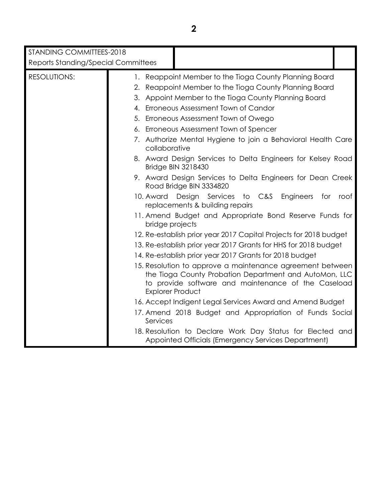| STANDING COMMITTEES-2018<br><b>Reports Standing/Special Committees</b> |                                                                                                                                                                                                       |
|------------------------------------------------------------------------|-------------------------------------------------------------------------------------------------------------------------------------------------------------------------------------------------------|
| <b>RESOLUTIONS:</b>                                                    | 1. Reappoint Member to the Tioga County Planning Board                                                                                                                                                |
|                                                                        | 2. Reappoint Member to the Tioga County Planning Board                                                                                                                                                |
|                                                                        | 3. Appoint Member to the Tioga County Planning Board                                                                                                                                                  |
|                                                                        | 4. Erroneous Assessment Town of Candor                                                                                                                                                                |
|                                                                        | 5. Erroneous Assessment Town of Owego                                                                                                                                                                 |
|                                                                        | 6. Erroneous Assessment Town of Spencer                                                                                                                                                               |
|                                                                        | 7. Authorize Mental Hygiene to join a Behavioral Health Care                                                                                                                                          |
|                                                                        | collaborative                                                                                                                                                                                         |
|                                                                        | 8. Award Design Services to Delta Engineers for Kelsey Road<br><b>Bridge BIN 3218430</b>                                                                                                              |
|                                                                        | 9. Award Design Services to Delta Engineers for Dean Creek<br>Road Bridge BIN 3334820                                                                                                                 |
|                                                                        | 10. Award Design Services to C&S<br>Engineers<br>for<br>roof<br>replacements & building repairs                                                                                                       |
|                                                                        | 11. Amend Budget and Appropriate Bond Reserve Funds for<br>bridge projects                                                                                                                            |
|                                                                        | 12. Re-establish prior year 2017 Capital Projects for 2018 budget                                                                                                                                     |
|                                                                        | 13. Re-establish prior year 2017 Grants for HHS for 2018 budget                                                                                                                                       |
|                                                                        | 14. Re-establish prior year 2017 Grants for 2018 budget                                                                                                                                               |
|                                                                        | 15. Resolution to approve a maintenance agreement between<br>the Tioga County Probation Department and AutoMon, LLC<br>to provide software and maintenance of the Caseload<br><b>Explorer Product</b> |
|                                                                        | 16. Accept Indigent Legal Services Award and Amend Budget                                                                                                                                             |
|                                                                        | 17. Amend 2018 Budget and Appropriation of Funds Social<br>Services                                                                                                                                   |
|                                                                        |                                                                                                                                                                                                       |

18. Resolution to Declare Work Day Status for Elected and Appointed Officials (Emergency Services Department)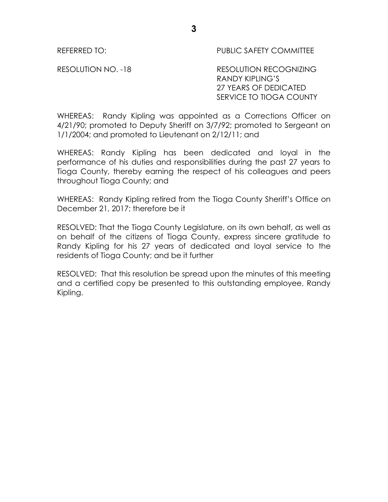REFERRED TO: THE PUBLIC SAFETY COMMITTEE

RESOLUTION NO. -18 RESOLUTION RECOGNIZING RANDY KIPLING'S 27 YEARS OF DEDICATED SERVICE TO TIOGA COUNTY

WHEREAS: Randy Kipling was appointed as a Corrections Officer on 4/21/90; promoted to Deputy Sheriff on 3/7/92; promoted to Sergeant on 1/1/2004; and promoted to Lieutenant on 2/12/11; and

WHEREAS: Randy Kipling has been dedicated and loyal in the performance of his duties and responsibilities during the past 27 years to Tioga County, thereby earning the respect of his colleagues and peers throughout Tioga County; and

WHEREAS: Randy Kipling retired from the Tioga County Sheriff's Office on December 21, 2017; therefore be it

RESOLVED: That the Tioga County Legislature, on its own behalf, as well as on behalf of the citizens of Tioga County, express sincere gratitude to Randy Kipling for his 27 years of dedicated and loyal service to the residents of Tioga County; and be it further

RESOLVED: That this resolution be spread upon the minutes of this meeting and a certified copy be presented to this outstanding employee, Randy Kipling.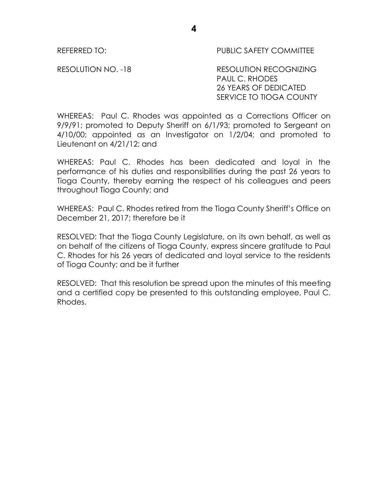REFERRED TO: PUBLIC SAFETY COMMITTEE

RESOLUTION NO. -18 RESOLUTION RECOGNIZING PAUL C. RHODES 26 YEARS OF DEDICATED SERVICE TO TIOGA COUNTY

WHEREAS: Paul C. Rhodes was appointed as a Corrections Officer on 9/9/91; promoted to Deputy Sheriff on 6/1/93; promoted to Sergeant on 4/10/00; appointed as an Investigator on 1/2/04; and promoted to Lieutenant on 4/21/12; and

WHEREAS: Paul C. Rhodes has been dedicated and loyal in the performance of his duties and responsibilities during the past 26 years to Tioga County, thereby earning the respect of his colleagues and peers throughout Tioga County; and

WHEREAS: Paul C. Rhodes retired from the Tioga County Sheriff's Office on December 21, 2017; therefore be it

RESOLVED: That the Tioga County Legislature, on its own behalf, as well as on behalf of the citizens of Tioga County, express sincere gratitude to Paul C. Rhodes for his 26 years of dedicated and loyal service to the residents of Tioga County; and be it further

RESOLVED: That this resolution be spread upon the minutes of this meeting and a certified copy be presented to this outstanding employee, Paul C. Rhodes.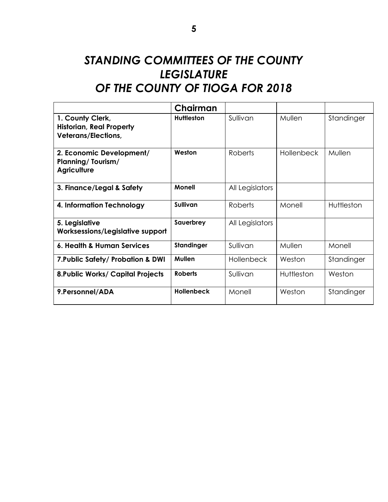# *STANDING COMMITTEES OF THE COUNTY LEGISLATURE OF THE COUNTY OF TIOGA FOR 2018*

|                                                                                   | Chairman          |                   |            |            |
|-----------------------------------------------------------------------------------|-------------------|-------------------|------------|------------|
| 1. County Clerk,<br><b>Historian, Real Property</b><br><b>Veterans/Elections,</b> | Huttleston        | Sullivan          | Mullen     | Standinger |
| 2. Economic Development/<br><b>Planning/Tourism/</b><br><b>Agriculture</b>        | Weston            | <b>Roberts</b>    | Hollenbeck | Mullen     |
| 3. Finance/Legal & Safety                                                         | <b>Monell</b>     | All Legislators   |            |            |
| 4. Information Technology                                                         | Sullivan          | <b>Roberts</b>    | Monell     | Huttleston |
| 5. Legislative<br>Worksessions/Legislative support                                | Sauerbrey         | All Legislators   |            |            |
| 6. Health & Human Services                                                        | Standinger        | Sullivan          | Mullen     | Monell     |
| 7. Public Safety/ Probation & DWI                                                 | Mullen            | <b>Hollenbeck</b> | Weston     | Standinger |
| <b>8. Public Works/ Capital Projects</b>                                          | <b>Roberts</b>    | Sullivan          | Huttleston | Weston     |
| 9.Personnel/ADA                                                                   | <b>Hollenbeck</b> | Monell            | Weston     | Standinger |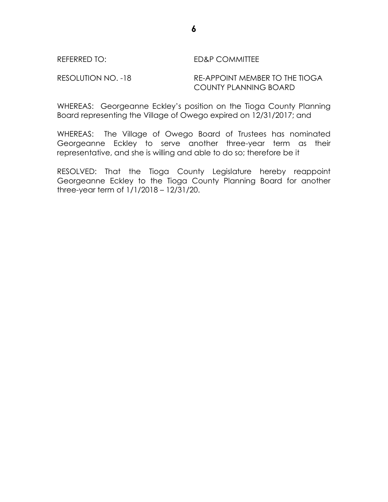### REFERRED TO: ED&P COMMITTEE

RESOLUTION NO. -18 RE-APPOINT MEMBER TO THE TIOGA COUNTY PLANNING BOARD

WHEREAS: Georgeanne Eckley's position on the Tioga County Planning Board representing the Village of Owego expired on 12/31/2017; and

WHEREAS: The Village of Owego Board of Trustees has nominated Georgeanne Eckley to serve another three-year term as their representative, and she is willing and able to do so; therefore be it

RESOLVED: That the Tioga County Legislature hereby reappoint Georgeanne Eckley to the Tioga County Planning Board for another three-year term of 1/1/2018 – 12/31/20.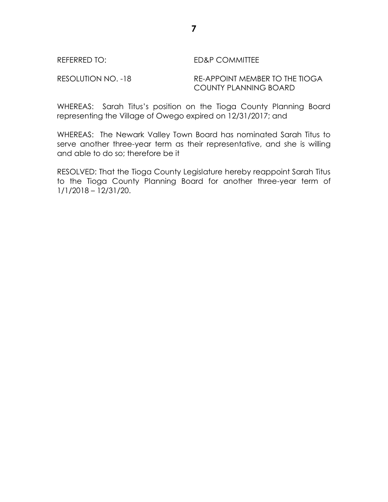### REFERRED TO: ED&P COMMITTEE

RESOLUTION NO. -18 RE-APPOINT MEMBER TO THE TIOGA COUNTY PLANNING BOARD

WHEREAS: Sarah Titus's position on the Tioga County Planning Board representing the Village of Owego expired on 12/31/2017; and

WHEREAS: The Newark Valley Town Board has nominated Sarah Titus to serve another three-year term as their representative, and she is willing and able to do so; therefore be it

RESOLVED: That the Tioga County Legislature hereby reappoint Sarah Titus to the Tioga County Planning Board for another three-year term of 1/1/2018 – 12/31/20.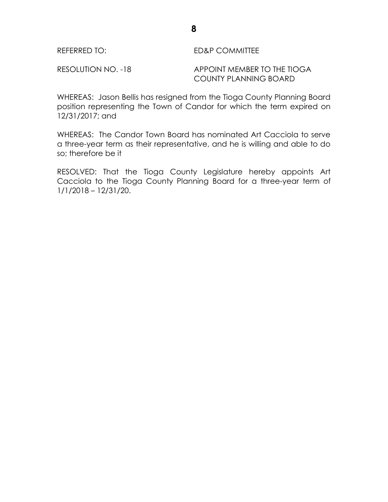| REFERRED TO: | <b>ED&amp;P COMMITTEE</b> |
|--------------|---------------------------|
|              |                           |

RESOLUTION NO. -18 APPOINT MEMBER TO THE TIOGA COUNTY PLANNING BOARD

WHEREAS: Jason Bellis has resigned from the Tioga County Planning Board position representing the Town of Candor for which the term expired on 12/31/2017; and

WHEREAS: The Candor Town Board has nominated Art Cacciola to serve a three-year term as their representative, and he is willing and able to do so; therefore be it

RESOLVED: That the Tioga County Legislature hereby appoints Art Cacciola to the Tioga County Planning Board for a three-year term of 1/1/2018 – 12/31/20.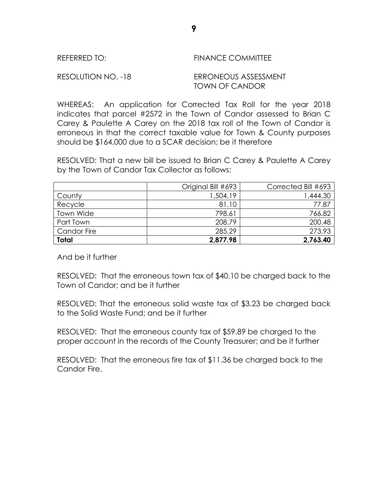| REFERRED TO: | <b>FINANCE COMMITTEE</b> |
|--------------|--------------------------|
|              |                          |

RESOLUTION NO. -18 ERRONEOUS ASSESSMENT TOWN OF CANDOR

WHEREAS: An application for Corrected Tax Roll for the year 2018 indicates that parcel #2572 in the Town of Candor assessed to Brian C Carey & Paulette A Carey on the 2018 tax roll of the Town of Candor is erroneous in that the correct taxable value for Town & County purposes should be \$164,000 due to a SCAR decision; be it therefore

RESOLVED: That a new bill be issued to Brian C Carey & Paulette A Carey by the Town of Candor Tax Collector as follows:

|                    | Original Bill #693 | Corrected Bill #693 |
|--------------------|--------------------|---------------------|
| County             | 1,504.19           | 1,444.30            |
| Recycle            | 81.10              | 77.87               |
| Town Wide          | 798.61             | 766.82              |
| Part Town          | 208.79             | 200.48              |
| <b>Candor Fire</b> | 285.29             | 273.93              |
| <b>Total</b>       | 2,877.98           | 2,763.40            |

And be it further

RESOLVED: That the erroneous town tax of \$40.10 be charged back to the Town of Candor; and be it further

RESOLVED: That the erroneous solid waste tax of \$3.23 be charged back to the Solid Waste Fund; and be it further

RESOLVED: That the erroneous county tax of \$59.89 be charged to the proper account in the records of the County Treasurer; and be it further

RESOLVED: That the erroneous fire tax of \$11.36 be charged back to the Candor Fire.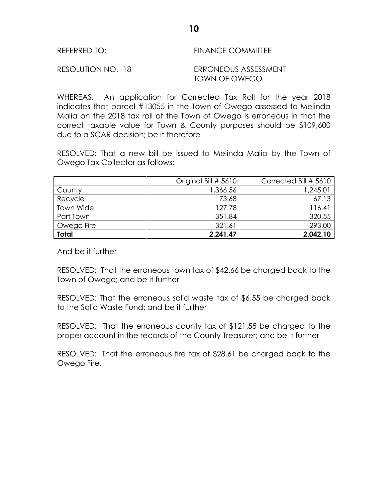### REFERRED TO: FINANCE COMMITTEE

RESOLUTION NO. -18 ERRONEOUS ASSESSMENT TOWN OF OWEGO

WHEREAS: An application for Corrected Tax Roll for the year 2018 indicates that parcel #13055 in the Town of Owego assessed to Melinda Malia on the 2018 tax roll of the Town of Owego is erroneous in that the correct taxable value for Town & County purposes should be \$109,600 due to a SCAR decision; be it therefore

RESOLVED: That a new bill be issued to Melinda Malia by the Town of Owego Tax Collector as follows:

|              | Original Bill # 5610 | Corrected Bill # 5610 |
|--------------|----------------------|-----------------------|
| County       | 1,366.56             | 1,245.01              |
| Recycle      | 73.68                | 67.13                 |
| Town Wide    | 127.78               | 116.41                |
| Part Town    | 351.84               | 320.55                |
| Owego Fire   | 321.61               | 293.00                |
| <b>Total</b> | 2,241.47             | 2,042.10              |

And be it further

RESOLVED: That the erroneous town tax of \$42.66 be charged back to the Town of Owego; and be it further

RESOLVED: That the erroneous solid waste tax of \$6.55 be charged back to the Solid Waste Fund; and be it further

RESOLVED: That the erroneous county tax of \$121.55 be charged to the proper account in the records of the County Treasurer; and be it further

RESOLVED: That the erroneous fire tax of \$28.61 be charged back to the Owego Fire.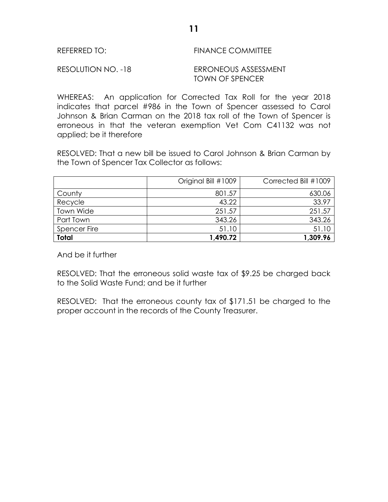### REFERRED TO: FINANCE COMMITTEE

RESOLUTION NO. -18 ERRONEOUS ASSESSMENT TOWN OF SPENCER

WHEREAS: An application for Corrected Tax Roll for the year 2018 indicates that parcel #986 in the Town of Spencer assessed to Carol Johnson & Brian Carman on the 2018 tax roll of the Town of Spencer is erroneous in that the veteran exemption Vet Com C41132 was not applied; be it therefore

RESOLVED: That a new bill be issued to Carol Johnson & Brian Carman by the Town of Spencer Tax Collector as follows:

|              | Original Bill #1009 | Corrected Bill #1009 |
|--------------|---------------------|----------------------|
| County       | 801.57              | 630.06               |
| Recycle      | 43.22               | 33.97                |
| Town Wide    | 251.57              | 251.57               |
| Part Town    | 343.26              | 343.26               |
| Spencer Fire | 51.10               | 51.10                |
| <b>Total</b> | 1,490.72            | 1,309.96             |

And be it further

RESOLVED: That the erroneous solid waste tax of \$9.25 be charged back to the Solid Waste Fund; and be it further

RESOLVED: That the erroneous county tax of \$171.51 be charged to the proper account in the records of the County Treasurer.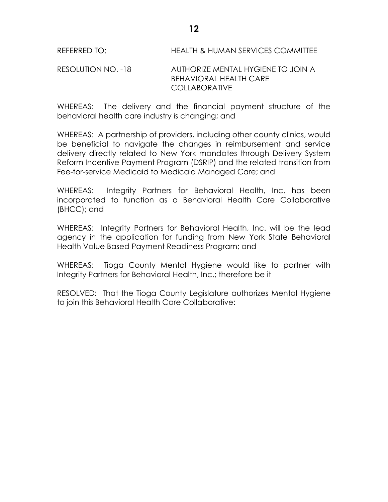RESOLUTION NO. -18 AUTHORIZE MENTAL HYGIENE TO JOIN A BEHAVIORAL HEALTH CARE COLLABORATIVE

WHEREAS: The delivery and the financial payment structure of the behavioral health care industry is changing; and

WHEREAS: A partnership of providers, including other county clinics, would be beneficial to navigate the changes in reimbursement and service delivery directly related to New York mandates through Delivery System Reform Incentive Payment Program (DSRIP) and the related transition from Fee-for-service Medicaid to Medicaid Managed Care; and

WHEREAS: Integrity Partners for Behavioral Health, Inc. has been incorporated to function as a Behavioral Health Care Collaborative (BHCC); and

WHEREAS: Integrity Partners for Behavioral Health, Inc. will be the lead agency in the application for funding from New York State Behavioral Health Value Based Payment Readiness Program; and

WHEREAS: Tioga County Mental Hygiene would like to partner with Integrity Partners for Behavioral Health, Inc.; therefore be it

RESOLVED: That the Tioga County Legislature authorizes Mental Hygiene to join this Behavioral Health Care Collaborative: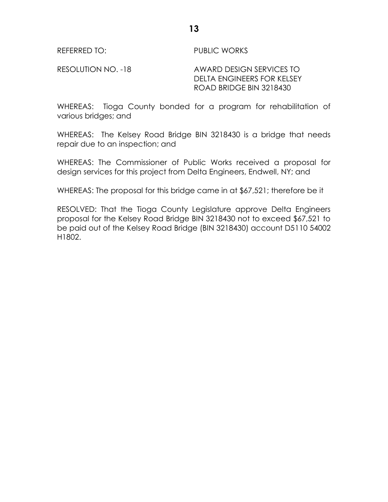REFERRED TO: PUBLIC WORKS

RESOLUTION NO. -18 AWARD DESIGN SERVICES TO DELTA ENGINEERS FOR KELSEY ROAD BRIDGE BIN 3218430

WHEREAS: Tioga County bonded for a program for rehabilitation of various bridges; and

WHEREAS: The Kelsey Road Bridge BIN 3218430 is a bridge that needs repair due to an inspection; and

WHEREAS: The Commissioner of Public Works received a proposal for design services for this project from Delta Engineers, Endwell, NY; and

WHEREAS: The proposal for this bridge came in at \$67,521; therefore be it

RESOLVED: That the Tioga County Legislature approve Delta Engineers proposal for the Kelsey Road Bridge BIN 3218430 not to exceed \$67,521 to be paid out of the Kelsey Road Bridge (BIN 3218430) account D5110 54002 H1802.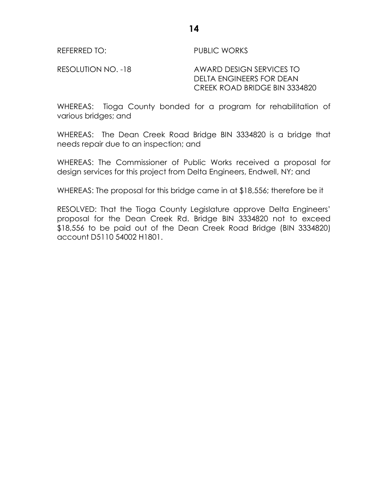REFERRED TO: PUBLIC WORKS

RESOLUTION NO. -18 AWARD DESIGN SERVICES TO DELTA ENGINEERS FOR DEAN CREEK ROAD BRIDGE BIN 3334820

WHEREAS: Tioga County bonded for a program for rehabilitation of various bridges; and

WHEREAS: The Dean Creek Road Bridge BIN 3334820 is a bridge that needs repair due to an inspection; and

WHEREAS: The Commissioner of Public Works received a proposal for design services for this project from Delta Engineers, Endwell, NY; and

WHEREAS: The proposal for this bridge came in at \$18,556; therefore be it

RESOLVED: That the Tioga County Legislature approve Delta Engineers' proposal for the Dean Creek Rd. Bridge BIN 3334820 not to exceed \$18,556 to be paid out of the Dean Creek Road Bridge (BIN 3334820) account D5110 54002 H1801.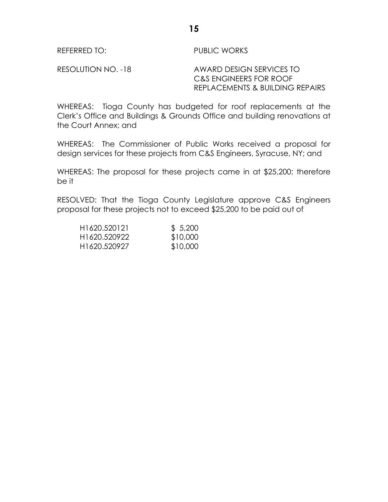REFERRED TO: PUBLIC WORKS

RESOLUTION NO. -18 AWARD DESIGN SERVICES TO C&S ENGINEERS FOR ROOF REPLACEMENTS & BUILDING REPAIRS

WHEREAS: Tioga County has budgeted for roof replacements at the Clerk's Office and Buildings & Grounds Office and building renovations at the Court Annex; and

WHEREAS: The Commissioner of Public Works received a proposal for design services for these projects from C&S Engineers, Syracuse, NY; and

WHEREAS: The proposal for these projects came in at \$25,200; therefore be it

RESOLVED: That the Tioga County Legislature approve C&S Engineers proposal for these projects not to exceed \$25,200 to be paid out of

| H <sub>1</sub> 620.520121 | \$5,200  |
|---------------------------|----------|
| H1620.520922              | \$10,000 |
| H <sub>1620</sub> .520927 | \$10,000 |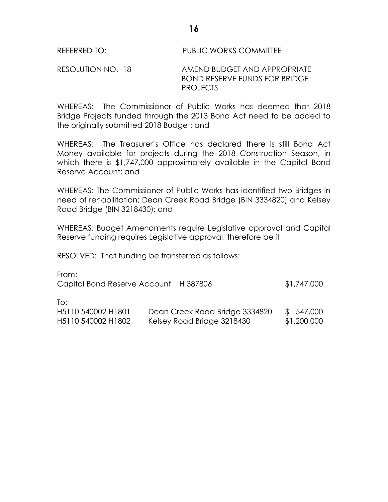### RESOLUTION NO. -18 AMEND BUDGET AND APPROPRIATE BOND RESERVE FUNDS FOR BRIDGE PROJECTS

WHEREAS: The Commissioner of Public Works has deemed that 2018 Bridge Projects funded through the 2013 Bond Act need to be added to the originally submitted 2018 Budget; and

WHEREAS: The Treasurer's Office has declared there is still Bond Act Money available for projects during the 2018 Construction Season, in which there is \$1,747,000 approximately available in the Capital Bond Reserve Account; and

WHEREAS: The Commissioner of Public Works has identified two Bridges in need of rehabilitation; Dean Creek Road Bridge (BIN 3334820) and Kelsey Road Bridge (BIN 3218430); and

WHEREAS: Budget Amendments require Legislative approval and Capital Reserve funding requires Legislative approval; therefore be it

RESOLVED: That funding be transferred as follows:

From: Capital Bond Reserve Account H 387806  $$1,747,000$ .

To:

| H5110 540002 H1801 | Dean Creek Road Bridge 3334820 | \$ 547,000  |
|--------------------|--------------------------------|-------------|
| H5110 540002 H1802 | Kelsey Road Bridge 3218430     | \$1,200,000 |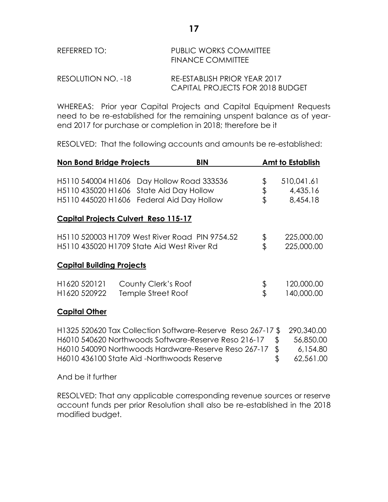# REFERRED TO: PUBLIC WORKS COMMITTEE FINANCE COMMITTEE

RESOLUTION NO. -18 RE-ESTABLISH PRIOR YEAR 2017 CAPITAL PROJECTS FOR 2018 BUDGET

WHEREAS: Prior year Capital Projects and Capital Equipment Requests need to be re-established for the remaining unspent balance as of yearend 2017 for purchase or completion in 2018; therefore be it

RESOLVED: That the following accounts and amounts be re-established:

| <b>Non Bond Bridge Projects</b>                                | <b>BIN</b>                                                                                                                                                                                                                |                | <b>Amt to Establish</b>                          |
|----------------------------------------------------------------|---------------------------------------------------------------------------------------------------------------------------------------------------------------------------------------------------------------------------|----------------|--------------------------------------------------|
| H5110 540004 H1606<br>H5110 435020 H1606<br>H5110 445020 H1606 | Day Hollow Road 333536<br>State Aid Day Hollow<br>Federal Aid Day Hollow                                                                                                                                                  | \$<br>\$<br>\$ | 510,041.61<br>4,435.16<br>8,454.18               |
| <b>Capital Projects Culvert Reso 115-17</b>                    |                                                                                                                                                                                                                           |                |                                                  |
|                                                                | H5110 520003 H1709 West River Road PIN 9754.52<br>H5110 435020 H1709 State Aid West River Rd                                                                                                                              | \$<br>\$       | 225,000.00<br>225,000.00                         |
| <b>Capital Building Projects</b>                               |                                                                                                                                                                                                                           |                |                                                  |
| H1620 520121<br>H1620 520922                                   | County Clerk's Roof<br>Temple Street Roof                                                                                                                                                                                 | \$<br>\$       | 120,000.00<br>140,000.00                         |
| <b>Capital Other</b>                                           |                                                                                                                                                                                                                           |                |                                                  |
|                                                                | H1325 520620 Tax Collection Software-Reserve Reso 267-17 \$<br>H6010 540620 Northwoods Software-Reserve Reso 216-17<br>H6010 540090 Northwoods Hardware-Reserve Reso 267-17<br>H6010 436100 State Aid -Northwoods Reserve | \$<br>\$<br>\$ | 290,340.00<br>56,850.00<br>6,154.80<br>62,561.00 |

And be it further

RESOLVED: That any applicable corresponding revenue sources or reserve account funds per prior Resolution shall also be re-established in the 2018 modified budget.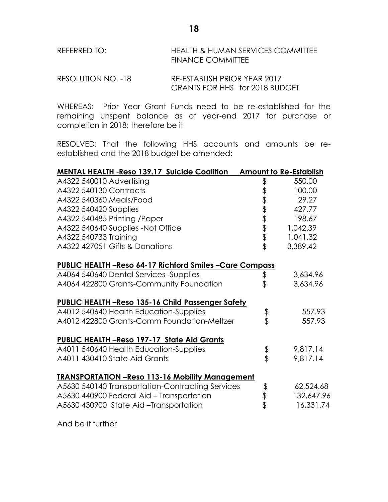| REFERRED TO: | <b>HEALTH &amp; HUMAN SERVICES COMMITTEE</b> |
|--------------|----------------------------------------------|
|              | <b>FINANCE COMMITTEE</b>                     |

| RESOLUTION NO. -18 | RE-ESTABLISH PRIOR YEAR 2017          |  |
|--------------------|---------------------------------------|--|
|                    | <b>GRANTS FOR HHS for 2018 BUDGET</b> |  |

WHEREAS: Prior Year Grant Funds need to be re-established for the remaining unspent balance as of year-end 2017 for purchase or completion in 2018; therefore be it

RESOLVED: That the following HHS accounts and amounts be reestablished and the 2018 budget be amended:

| <b>MENTAL HEALTH -Reso 139.17 Suicide Coalition</b>            |          | <b>Amount to Re-Establish</b> |
|----------------------------------------------------------------|----------|-------------------------------|
| A4322 540010 Advertising                                       | \$       | 550.00                        |
| A4322 540130 Contracts                                         |          | 100.00                        |
| A4322 540360 Meals/Food                                        |          | 29.27                         |
| A4322 540420 Supplies                                          |          | 427.77                        |
| A4322 540485 Printing /Paper                                   | もままままま   | 198.67                        |
| A4322 540640 Supplies -Not Office                              |          | 1,042.39                      |
| A4322 540733 Training                                          |          | 1,041.32                      |
| A4322 427051 Gifts & Donations                                 |          | 3,389.42                      |
| <b>PUBLIC HEALTH -Reso 64-17 Richford Smiles -Care Compass</b> |          |                               |
| A4064 540640 Dental Services -Supplies                         | \$       | 3,634.96                      |
| A4064 422800 Grants-Community Foundation                       | \$       | 3,634.96                      |
| <b>PUBLIC HEALTH -Reso 135-16 Child Passenger Safety</b>       |          |                               |
| A4012 540640 Health Education-Supplies                         |          | 557.93                        |
| A4012 422800 Grants-Comm Foundation-Meltzer                    | \$<br>\$ | 557.93                        |
| <b>PUBLIC HEALTH -Reso 197-17 State Aid Grants</b>             |          |                               |
| A4011 540640 Health Education-Supplies                         |          | 9,817.14                      |
| A4011 430410 State Aid Grants                                  | \$<br>\$ | 9,817.14                      |
| <b>TRANSPORTATION - Reso 113-16 Mobility Management</b>        |          |                               |
| A5630 540140 Transportation-Contracting Services               |          | 62,524.68                     |
| A5630 440900 Federal Aid - Transportation                      |          | 132,647.96                    |
| A5630 430900 State Aid -Transportation                         | すます      | 16,331.74                     |
|                                                                |          |                               |

And be it further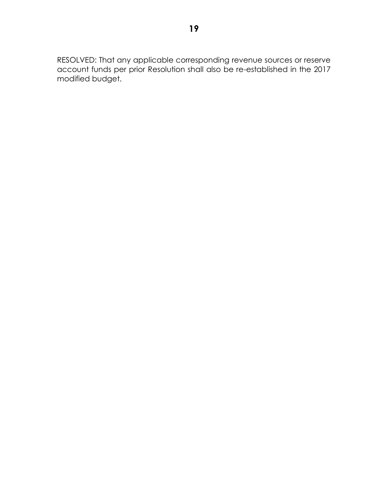RESOLVED: That any applicable corresponding revenue sources or reserve account funds per prior Resolution shall also be re-established in the 2017 modified budget.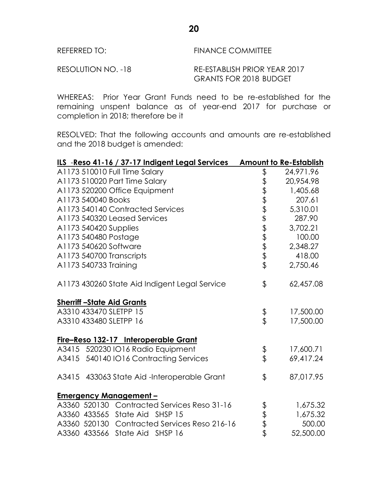## REFERRED TO: FINANCE COMMITTEE RESOLUTION NO. -18 RE-ESTABLISH PRIOR YEAR 2017

WHEREAS: Prior Year Grant Funds need to be re-established for the remaining unspent balance as of year-end 2017 for purchase or completion in 2018; therefore be it

GRANTS FOR 2018 BUDGET

RESOLVED: That the following accounts and amounts are re-established and the 2018 budget is amended:

| ILS -Reso 41-16 / 37-17 Indigent Legal Services |                              | <b>Amount to Re-Establish</b> |
|-------------------------------------------------|------------------------------|-------------------------------|
| A1173 510010 Full Time Salary                   | \$                           | 24,971.96                     |
| A1173 510020 Part Time Salary                   |                              | 20,954.98                     |
| A1173 520200 Office Equipment                   |                              | 1,405.68                      |
| A1173 540040 Books                              |                              | 207.61                        |
| A1173 540140 Contracted Services                |                              | 5,310.01                      |
| A1173 540320 Leased Services                    | \$\$\$\$\$\$\$\$\$\$\$\$\$\$ | 287.90                        |
| A1173 540420 Supplies                           |                              | 3,702.21                      |
| A1173 540480 Postage                            |                              | 100.00                        |
| A1173 540620 Software                           |                              | 2,348.27                      |
| A1173 540700 Transcripts                        |                              | 418.00                        |
| A1173 540733 Training                           |                              | 2,750.46                      |
| A1173 430260 State Aid Indigent Legal Service   | \$                           | 62,457.08                     |
| <b>Sherriff-State Aid Grants</b>                |                              |                               |
| A3310 433470 SLETPP 15                          | री<br>प                      | 17,500.00                     |
| A3310 433480 SLETPP 16                          |                              | 17,500.00                     |
| Fire-Reso 132-17 Interoperable Grant            |                              |                               |
| A3415 520230 IO16 Radio Equipment               | \$                           | 17,600.71                     |
| A3415 540140 IO16 Contracting Services          |                              | 69,417.24                     |
| A3415 433063 State Aid -Interoperable Grant     | $\frac{1}{2}$                | 87,017.95                     |
| <b>Emergency Management-</b>                    |                              |                               |
| A3360 520130 Contracted Services Reso 31-16     |                              | 1,675.32                      |
| A3360 433565 State Aid SHSP 15                  | もまま                          | 1,675.32                      |
| A3360 520130 Contracted Services Reso 216-16    |                              | 500.00                        |
| A3360 433566 State Aid SHSP 16                  |                              | 52,500.00                     |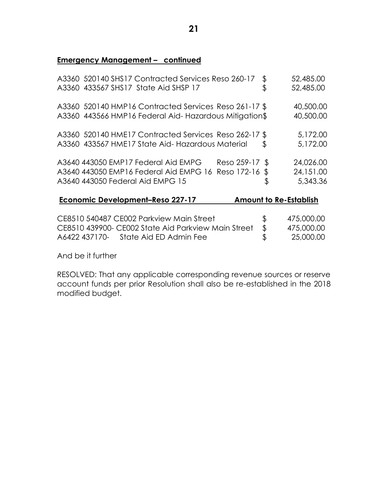### **Emergency Management – continued**

| A3360 520140 SHS17 Contracted Services Reso 260-17<br>A3360 433567 SHS17 State Aid SHSP 17                                                         | \$<br>\$       | 52,485.00<br>52,485.00                |
|----------------------------------------------------------------------------------------------------------------------------------------------------|----------------|---------------------------------------|
| A3360 520140 HMP16 Contracted Services Reso 261-17 \$<br>A3360 443566 HMP16 Federal Aid-Hazardous Mitigation\$                                     |                | 40,500.00<br>40,500.00                |
| A3360 520140 HME17 Contracted Services Reso 262-17 \$<br>A3360 433567 HME17 State Aid-Hazardous Material                                           | \$             | 5,172.00<br>5,172.00                  |
| A3640 443050 EMP17 Federal Aid EMPG<br>Reso 259-17 \$<br>A3640 443050 EMP16 Federal Aid EMPG 16 Reso 172-16 \$<br>A3640 443050 Federal Aid EMPG 15 | \$             | 24,026.00<br>24,151.00<br>5,343.36    |
| <b>Economic Development-Reso 227-17</b>                                                                                                            |                | <b>Amount to Re-Establish</b>         |
| CE8510 540487 CE002 Parkview Main Street<br>CE8510 439900- CE002 State Aid Parkview Main Street<br>A6422 437170- State Aid ED Admin Fee            | \$<br>\$<br>\$ | 475,000.00<br>475,000.00<br>25,000.00 |

And be it further

RESOLVED: That any applicable corresponding revenue sources or reserve account funds per prior Resolution shall also be re-established in the 2018 modified budget.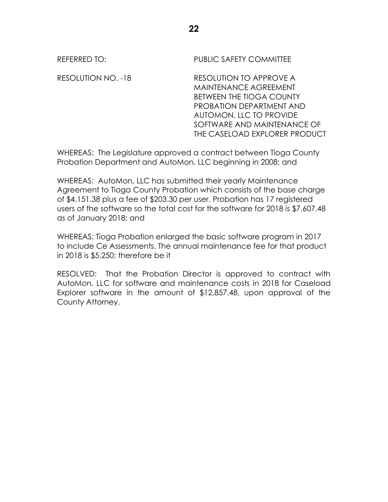REFERRED TO: PUBLIC SAFETY COMMITTEE

RESOLUTION NO. -18 RESOLUTION TO APPROVE A MAINTENANCE AGREEMENT BETWEEN THE TIOGA COUNTY PROBATION DEPARTMENT AND AUTOMON, LLC TO PROVIDE SOFTWARE AND MAINTENANCE OF THE CASELOAD EXPLORER PRODUCT

WHEREAS: The Legislature approved a contract between Tioga County Probation Department and AutoMon, LLC beginning in 2008; and

WHEREAS: AutoMon, LLC has submitted their yearly Maintenance Agreement to Tioga County Probation which consists of the base charge of \$4,151.38 plus a fee of \$203.30 per user. Probation has 17 registered users of the software so the total cost for the software for 2018 is \$7,607.48 as of January 2018; and

WHEREAS: Tioga Probation enlarged the basic software program in 2017 to include Ce Assessments. The annual maintenance fee for that product in 2018 is \$5,250; therefore be it

RESOLVED: That the Probation Director is approved to contract with AutoMon, LLC for software and maintenance costs in 2018 for Caseload Explorer software in the amount of \$12,857.48, upon approval of the County Attorney.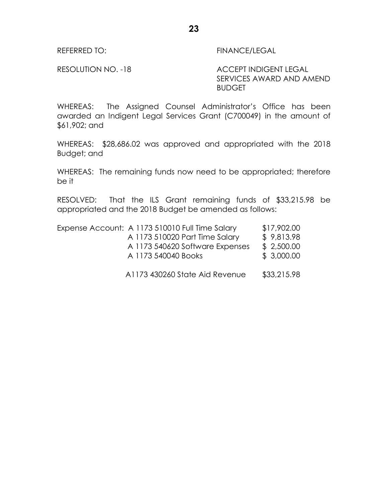### REFERRED TO: FINANCE/LEGAL

RESOLUTION NO. -18 ACCEPT INDIGENT LEGAL SERVICES AWARD AND AMEND BUDGET

WHEREAS: The Assigned Counsel Administrator's Office has been awarded an Indigent Legal Services Grant (C700049) in the amount of \$61,902; and

WHEREAS: \$28,686.02 was approved and appropriated with the 2018 Budget; and

WHEREAS: The remaining funds now need to be appropriated; therefore be it

RESOLVED: That the ILS Grant remaining funds of \$33,215.98 be appropriated and the 2018 Budget be amended as follows:

| Expense Account: A 1173 510010 Full Time Salary        | \$17,902.00              |
|--------------------------------------------------------|--------------------------|
| A 1173 510020 Part Time Salary                         | \$9,813.98               |
| A 1173 540620 Software Expenses<br>A 1173 540040 Books | \$2,500.00<br>\$3,000.00 |
| A1173 430260 State Aid Revenue                         | \$33,215.98              |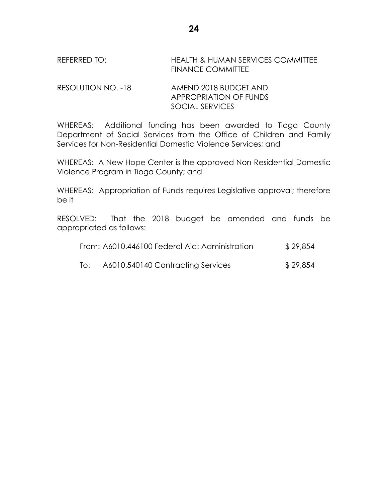### REFERRED TO: HEALTH & HUMAN SERVICES COMMITTEE FINANCE COMMITTEE

RESOLUTION NO. -18 AMEND 2018 BUDGET AND APPROPRIATION OF FUNDS SOCIAL SERVICES

WHEREAS: Additional funding has been awarded to Tioga County Department of Social Services from the Office of Children and Family Services for Non-Residential Domestic Violence Services; and

WHEREAS: A New Hope Center is the approved Non-Residential Domestic Violence Program in Tioga County; and

WHEREAS: Appropriation of Funds requires Legislative approval; therefore be it

RESOLVED: That the 2018 budget be amended and funds be appropriated as follows:

|     | From: A6010.446100 Federal Aid: Administration | \$29,854 |
|-----|------------------------------------------------|----------|
| To: | A6010.540140 Contracting Services              | \$29,854 |